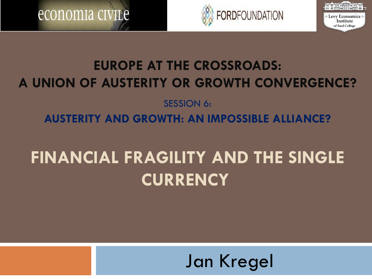





of Bard College

#### **EUROPE AT THE CROSSROADS: A UNION OF AUSTERITY OR GROWTH CONVERGENCE?**

#### SESSION 6: **AUSTERITY AND GROWTH: AN IMPOSSIBLE ALLIANCE?**

# **FINANCIAL FRAGILITY AND THE SINGLE CURRENCY**

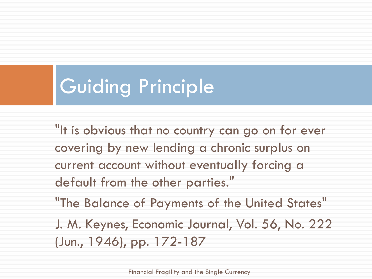# Guiding Principle

"It is obvious that no country can go on for ever covering by new lending a chronic surplus on current account without eventually forcing a default from the other parties."

"The Balance of Payments of the United States" J. M. Keynes, Economic Journal, Vol. 56, No. 222 (Jun., 1946), pp. 172-187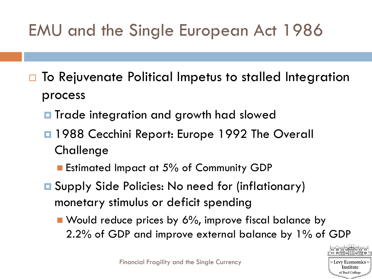## EMU and the Single European Act 1986

- □ To Rejuvenate Political Impetus to stalled Integration process
	- **T** Trade integration and growth had slowed
	- $\blacksquare$  **1988 Cecchini Report: Europe 1992 The Overall** Challenge
		- Estimated Impact at 5% of Community GDP
	- **□** Supply Side Policies: No need for (inflationary) monetary stimulus or deficit spending
		- Would reduce prices by 6%, improve fiscal balance by 2.2% of GDP and improve external balance by 1% of GDP

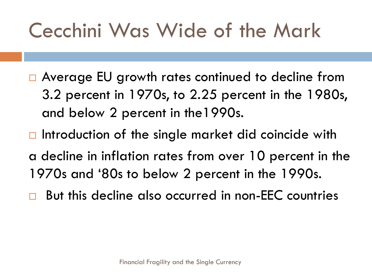# Cecchini Was Wide of the Mark

- □ Average EU growth rates continued to decline from 3.2 percent in 1970s, to 2.25 percent in the 1980s, and below 2 percent in the1990s.
- $\Box$  Introduction of the single market did coincide with a decline in inflation rates from over 10 percent in the 1970s and '80s to below 2 percent in the 1990s.
- But this decline also occurred in non-EEC countries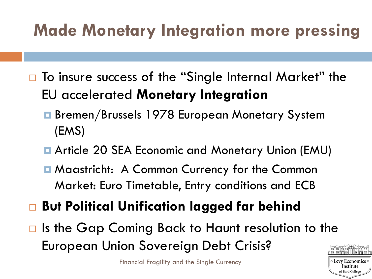## **Made Monetary Integration more pressing**

- $\Box$  To insure success of the "Single Internal Market" the EU accelerated **Monetary Integration**
	- Bremen/Brussels 1978 European Monetary System (EMS)
	- **E** Article 20 SEA Economic and Monetary Union (EMU)
	- **E** Maastricht: A Common Currency for the Common Market: Euro Timetable, Entry conditions and ECB
- **But Political Unification lagged far behind**
- $\Box$  Is the Gap Coming Back to Haunt resolution to the European Union Sovereign Debt Crisis?

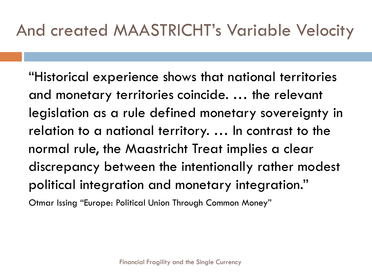## And created MAASTRICHT's Variable Velocity

"Historical experience shows that national territories and monetary territories coincide. … the relevant legislation as a rule defined monetary sovereignty in relation to a national territory. … In contrast to the normal rule, the Maastricht Treat implies a clear discrepancy between the intentionally rather modest political integration and monetary integration."

Otmar Issing "Europe: Political Union Through Common Money"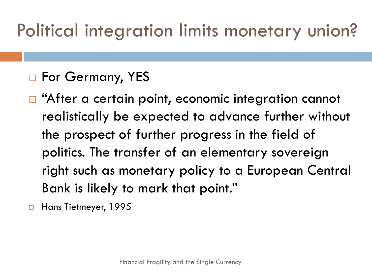# Political integration limits monetary union?

#### □ For Germany, YES

□ "After a certain point, economic integration cannot realistically be expected to advance further without the prospect of further progress in the field of politics. The transfer of an elementary sovereign right such as monetary policy to a European Central Bank is likely to mark that point."

Hans Tietmeyer, 1995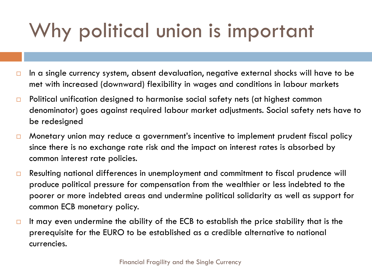# Why political union is important

- $\Box$  In a single currency system, absent devaluation, negative external shocks will have to be met with increased (downward) flexibility in wages and conditions in labour markets
- $\Box$  Political unification designed to harmonise social safety nets (at highest common denominator) goes against required labour market adjustments. Social safety nets have to be redesigned
- □ Monetary union may reduce a government's incentive to implement prudent fiscal policy since there is no exchange rate risk and the impact on interest rates is absorbed by common interest rate policies.
- □ Resulting national differences in unemployment and commitment to fiscal prudence will produce political pressure for compensation from the wealthier or less indebted to the poorer or more indebted areas and undermine political solidarity as well as support for common ECB monetary policy.
- $\Box$  It may even undermine the ability of the ECB to establish the price stability that is the prerequisite for the EURO to be established as a credible alternative to national currencies.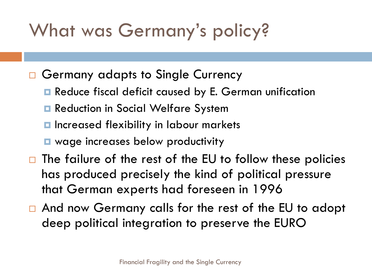# What was Germany's policy?

- □ Germany adapts to Single Currency
	- **Reduce fiscal deficit caused by E. German unification**
	- **□** Reduction in Social Welfare System
	- $\blacksquare$  Increased flexibility in labour markets
	- **E** wage increases below productivity
- $\Box$  The failure of the rest of the EU to follow these policies has produced precisely the kind of political pressure that German experts had foreseen in 1996
- □ And now Germany calls for the rest of the EU to adopt deep political integration to preserve the EURO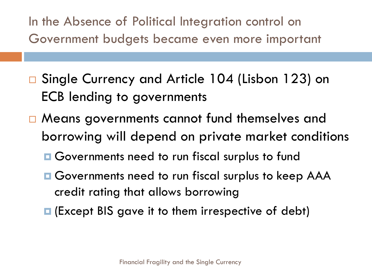In the Absence of Political Integration control on Government budgets became even more important

- Single Currency and Article 104 (Lisbon 123) on ECB lending to governments
- □ Means governments cannot fund themselves and borrowing will depend on private market conditions
	- **□ Governments need to run fiscal surplus to fund**
	- **Q** Governments need to run fiscal surplus to keep AAA credit rating that allows borrowing
	- **□** (Except BIS gave it to them irrespective of debt)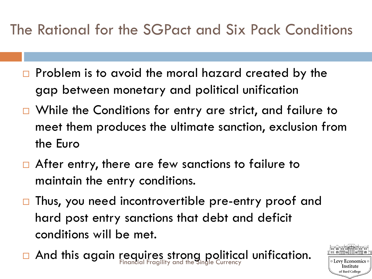#### The Rational for the SGPact and Six Pack Conditions

- $\Box$  Problem is to avoid the moral hazard created by the gap between monetary and political unification
- □ While the Conditions for entry are strict, and failure to meet them produces the ultimate sanction, exclusion from the Euro
- $\Box$  After entry, there are few sanctions to failure to maintain the entry conditions.
- $\Box$  Thus, you need incontrovertible pre-entry proof and hard post entry sanctions that debt and deficit conditions will be met.
- And this again requires strong political unification.

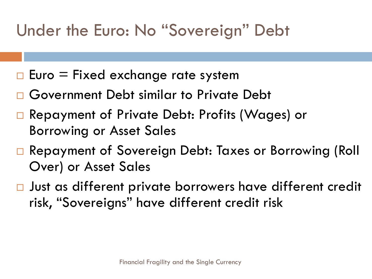## Under the Euro: No "Sovereign" Debt

- $\Box$  Euro = Fixed exchange rate system
- □ Government Debt similar to Private Debt
- Repayment of Private Debt: Profits (Wages) or Borrowing or Asset Sales
- Repayment of Sovereign Debt: Taxes or Borrowing (Roll Over) or Asset Sales
- □ Just as different private borrowers have different credit risk, "Sovereigns" have different credit risk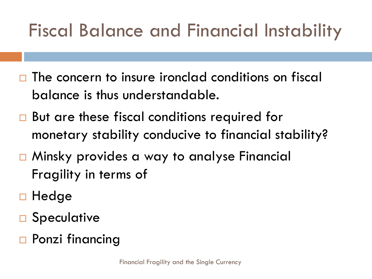# Fiscal Balance and Financial Instability

- $\Box$  The concern to insure ironclad conditions on fiscal balance is thus understandable.
- □ But are these fiscal conditions required for monetary stability conducive to financial stability?
- □ Minsky provides a way to analyse Financial Fragility in terms of
- □ Hedge
- □ Speculative
- □ Ponzi financing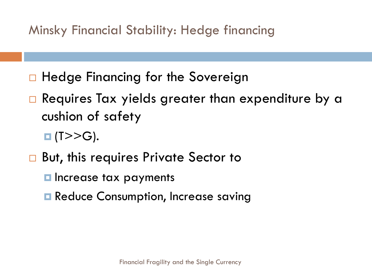Minsky Financial Stability: Hedge financing

- □ Hedge Financing for the Sovereign
- $\Box$  Requires Tax yields greater than expenditure by a cushion of safety
	- $\Box$  (T>>G).
- □ But, this requires Private Sector to
	- **<u>E</u>** Increase tax payments
	- **Reduce Consumption, Increase saving**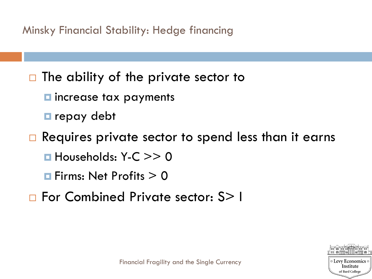Minsky Financial Stability: Hedge financing

 $\Box$  The ability of the private sector to

 $\blacksquare$  increase tax payments

**<u>E</u>** repay debt

 $\Box$  Requires private sector to spend less than it earns

 $\blacksquare$  Households: Y-C  $\gt$  > 0

 $\blacksquare$  Firms: Net Profits  $> 0$ 

□ For Combined Private sector: S> I

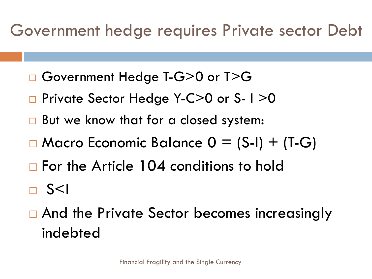### Government hedge requires Private sector Debt

- □ Government Hedge T-G>0 or T>G
- □ Private Sector Hedge Y-C>0 or S-1>0
- □ But we know that for a closed system:
- $\Box$  Macro Economic Balance  $0 = (S-I) + (T-G)$
- □ For the Article 104 conditions to hold

 $\Box$  S<I

□ And the Private Sector becomes increasingly indebted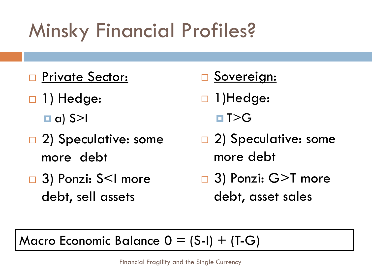# Minsky Financial Profiles?

- □ Private Sector:
- □ 1) Hedge:  $\Box$  a) S>I
- □ 2) Speculative: some more debt
- 3) Ponzi: S<I more debt, sell assets
- Sovereign:
- □ 1)Hedge:
	- $\blacksquare$  T>G
- □ 2) Speculative: some more debt
- □ 3) Ponzi: G>T more debt, asset sales

#### Macro Economic Balance  $0 = (S-I) + (T-G)$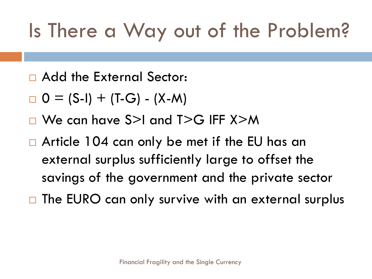# Is There a Way out of the Problem?

- Add the External Sector:
- $D = (S-I) + (T-G) (X-M)$
- □ We can have S>I and T>G IFF X>M
- □ Article 104 can only be met if the EU has an external surplus sufficiently large to offset the savings of the government and the private sector
- $\Box$  The EURO can only survive with an external surplus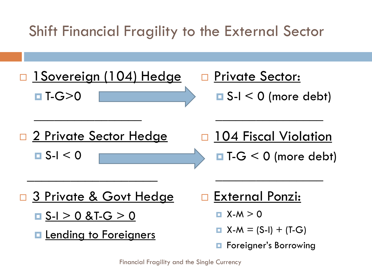Shift Financial Fragility to the External Sector

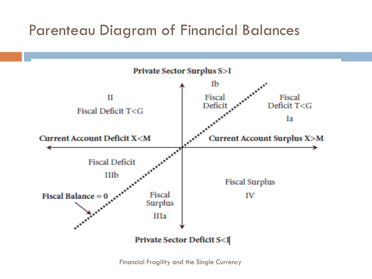#### Parenteau Diagram of Financial Balances

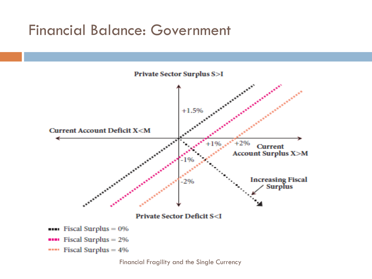#### Financial Balance: Government

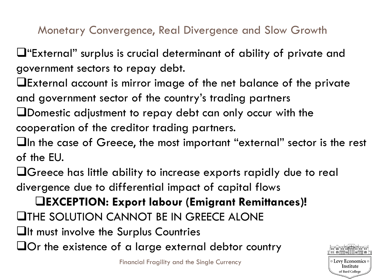Monetary Convergence, Real Divergence and Slow Growth

 $\Box$  "External" surplus is crucial determinant of ability of private and government sectors to repay debt.

- External account is mirror image of the net balance of the private and government sector of the country's trading partners
- Domestic adjustment to repay debt can only occur with the cooperation of the creditor trading partners.
- $\Box$ In the case of Greece, the most important "external" sector is the rest of the EU.
- Greece has little ability to increase exports rapidly due to real divergence due to differential impact of capital flows

**EXCEPTION: Export labour (Emigrant Remittances)! LITHE SOLUTION CANNOT BE IN GREECE ALONE**  $\Box$ It must involve the Surplus Countries  $\Box$  Or the existence of a large external debtor country

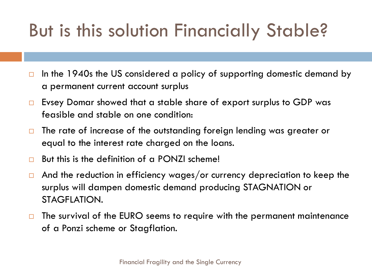# But is this solution Financially Stable?

- $\Box$  In the 1940s the US considered a policy of supporting domestic demand by a permanent current account surplus
- $\Box$  Evsey Domar showed that a stable share of export surplus to GDP was feasible and stable on one condition:
- $\Box$  The rate of increase of the outstanding foreign lending was greater or equal to the interest rate charged on the loans.
- $\Box$  But this is the definition of a PONZI scheme!
- $\Box$  And the reduction in efficiency wages/or currency depreciation to keep the surplus will dampen domestic demand producing STAGNATION or STAGFLATION.
- $\Box$  The survival of the EURO seems to require with the permanent maintenance of a Ponzi scheme or Stagflation.